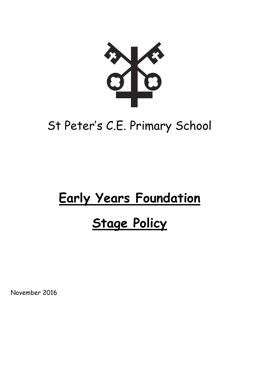

# St Peter's C.E. Primary School

# **Early Years Foundation**

# **Stage Policy**

November 2016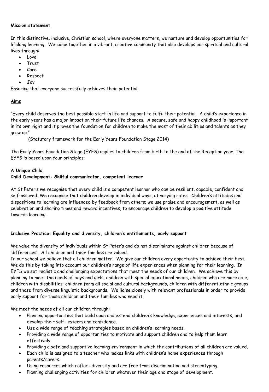# **Mission statement**

In this distinctive, inclusive, Christian school, where everyone matters, we nurture and develop opportunities for lifelong learning. We come together in a vibrant, creative community that also develops our spiritual and cultural lives through:

- Love
- Trust
- Care
- Respect
- Joy

Ensuring that everyone successfully achieves their potential.

# **Aims**

"Every child deserves the best possible start in life and support to fulfil their potential. A child's experience in the early years has a major impact on their future life chances. A secure, safe and happy childhood is important in its own right and it proves the foundation for children to make the most of their abilities and talents as they grow up."

(Statutory framework for the Early Years Foundation Stage 2014)

The Early Years Foundation Stage (EYFS) applies to children from birth to the end of the Reception year. The EYFS is based upon four principles;

# **A Unique Child**

# **Child Development: Skilful communicator, competent learner**

At St Peter's we recognise that every child is a competent learner who can be resilient, capable, confident and self-assured. We recognise that children develop in individual ways, at varying rates. Children's attitudes and dispositions to learning are influenced by feedback from others; we use praise and encouragement, as well as celebration and sharing times and reward incentives, to encourage children to develop a positive attitude towards learning.

# **Inclusive Practice: Equality and diversity, children's entitlements, early support**

We value the diversity of individuals within St Peter's and do not discriminate against children because of 'differences'. All children and their families are valued.

In our school we believe that all children matter. We give our children every opportunity to achieve their best. We do this by taking into account our children's range of life experiences when planning for their learning. In EYFS we set realistic and challenging expectations that meet the needs of our children. We achieve this by planning to meet the needs of boys and girls, children with special educational needs, children who are more able, children with disabilities; children form all social and cultural backgrounds, children with different ethnic groups and those from diverse linguistic backgrounds. We liaise closely with relevant professionals in order to provide early support for those children and their families who need it.

We meet the needs of all our children through:

- Planning opportunities that build upon and extend children's knowledge, experiences and interests, and develop their self- esteem and confidence.
- Use a wide range of teaching strategies based on children's learning needs.
- Providing a wide range of opportunities to motivate and support children and to help them learn effectively.
- Providing a safe and supportive learning environment in which the contributions of all children are valued.
- Each child is assigned to a teacher who makes links with children's home experiences through parents/carers.
- Using resources which reflect diversity and are free from discrimination and stereotyping.
- Planning challenging activities for children whatever their age and stage of development.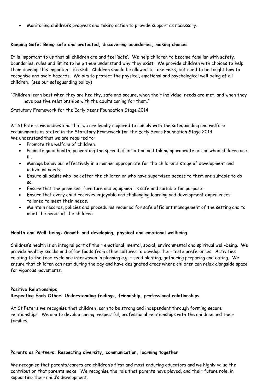Monitoring children's progress and taking action to provide support as necessary.

# **Keeping Safe: Being safe and protected, discovering boundaries, making choices**

It is important to us that all children are and feel 'safe'. We help children to become familiar with safety, boundaries, rules and limits to help them understand why they exist. We provide children with choices to help them develop this important life skill. Children should be allowed to take risks, but need to be taught how to recognise and avoid hazards. We aim to protect the physical, emotional and psychological well being of all children. (see our safeguarding policy)

"Children learn best when they are healthy, safe and secure, when their individual needs are met, and when they have positive relationships with the adults caring for them."

Statutory Framework for the Early Years Foundation Stage 2014

At St Peter's we understand that we are legally required to comply with the safeguarding and welfare requirements as stated in the Statutory Framework for the Early Years Foundation Stage 2014 We understand that we are required to:

- Promote the welfare of children.
- Promote good health, preventing the spread of infection and taking appropriate action when children are ill.
- Manage behaviour effectively in a manner appropriate for the children's stage of development and individual needs.
- Ensure all adults who look after the children or who have supervised access to them are suitable to do so.
- Ensure that the premises, furniture and equipment is safe and suitable for purpose.
- Ensure that every child receives enjoyable and challenging learning and development experiences tailored to meet their needs.
- Maintain records, policies and procedures required for safe efficient management of the setting and to meet the needs of the children.

# **Health and Well-being: Growth and developing, physical and emotional wellbeing**

Children's health is an integral part of their emotional, mental, social, environmental and spiritual well-being. We provide healthy snacks and offer foods from other cultures to develop their taste preferences. Activities relating to the food cycle are interwoven in planning e.g. – seed planting, gathering preparing and eating. We ensure that children can rest during the day and have designated areas where children can relax alongside space for vigorous movements.

### **Positive Relationships**

### **Respecting Each Other: Understanding feelings, friendship, professional relationships**

At St Peter's we recognise that children learn to be strong and independent through forming secure relationships. We aim to develop caring, respectful, professional relationships with the children and their families.

### **Parents as Partners: Respecting diversity, communication, learning together**

We recognise that parents/carers are children's first and most enduring educators and we highly value the contribution that parents make. We recognise the role that parents have played, and their future role, in supporting their child's development.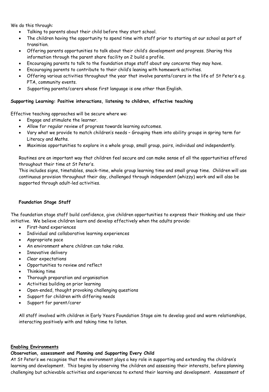We do this through:

- Talking to parents about their child before they start school.
- The children having the opportunity to spend time with staff prior to starting at our school as part of transition.
- Offering parents opportunities to talk about their child's development and progress. Sharing this information through the parent share facility on 2 build a profile.
- Encouraging parents to talk to the foundation stage staff about any concerns they may have.
- Encouraging parents to contribute to their child's leaning with homework activities.
- Offering various activities throughout the year that involve parents/carers in the life of St Peter's e.g. PTA, community events.
- Supporting parents/carers whose first language is one other than English.

# **Supporting Learning: Positive interactions, listening to children, effective teaching**

Effective teaching approaches will be secure where we:

- Engage and stimulate the learner.
- Allow for regular review of progress towards learning outcomes.
- Vary what we provide to match children's needs Grouping them into ability groups in spring term for Literacy and Maths.
- Maximise opportunities to explore in a whole group, small group, pairs, individual and independently.

Routines are an important way that children feel secure and can make sense of all the opportunities offered throughout their time at St Peter's.

This includes signs, timetables, snack-time, whole group learning time and small group time. Children will use continuous provision throughout their day, challenged through independent (whizzy) work and will also be supported through adult-led activities.

### **Foundation Stage Staff**

The foundation stage staff build confidence, give children opportunities to express their thinking and use their initiative. We believe children learn and develop effectively when the adults provide:

- First-hand experiences
- Individual and collaborative learning experiences
- Appropriate pace
- An environment where children can take risks.
- Innovative delivery
- Clear expectations
- Opportunities to review and reflect
- Thinking time
- Thorough preparation and organisation
- Activities building on prior learning
- Open-ended, thought provoking challenging questions
- Support for children with differing needs
- Support for parent/carer

All staff involved with children in Early Years Foundation Stage aim to develop good and warm relationships, interacting positively with and taking time to listen.

### **Enabling Environments**

### **Observation, assessment and Planning and Supporting Every Child**

At St Peter's we recognise that the environment plays a key role in supporting and extending the children's learning and development. This begins by observing the children and assessing their interests, before planning challenging but achievable activities and experiences to extend their learning and development. Assessment of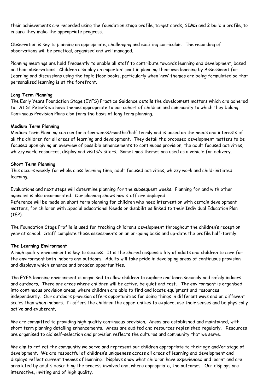their achievements are recorded using the foundation stage profile, target cards, SIMS and 2 build a profile, to ensure they make the appropriate progress.

Observation is key to planning an appropriate, challenging and exciting curriculum. The recording of observations will be practical, organised and well managed.

Planning meetings are held frequently to enable all staff to contribute towards learning and development, based on their observations. Children also play an important part in planning their own learning by Assessment for Learning and discussions using the topic floor books, particularly when 'new' themes are being formulated so that personalised learning is at the forefront.

# **Long Term Planning**

The Early Years Foundation Stage (EYFS) Practice Guidance details the development matters which are adhered to. At St Peter's we have themes appropriate to our cohort of children and community to which they belong. Continuous Provision Plans also form the basis of long term planning.

### **Medium Term Planning**

Medium Term Planning can run for a few weeks/months/half termly and is based on the needs and interests of all the children for all areas of learning and development. They detail the proposed development matters to be focused upon giving an overview of possible enhancements to continuous provision, the adult focused activities, whizzy work, resources, display and visits/visitors. Sometimes themes are used as a vehicle for delivery.

### **Short Term Planning**

This occurs weekly for whole class learning time, adult focused activities, whizzy work and child-initiated learning.

Evaluations and next steps will determine planning for the subsequent weeks. Planning for and with other agencies is also incorporated. Our planning shows how staff are deployed.

Reference will be made on short term planning for children who need intervention with certain development matters, for children with Special educational Needs or disabilities linked to their Individual Education Plan (IEP).

The Foundation Stage Profile is used for tracking children's development throughout the children's reception year at school. Staff complete these assessments on an on-going basis and up-date the profile half-termly.

### **The Learning Environment**

A high quality environment is key to success. It is the shared responsibility of adults and children to care for the environment both indoors and outdoors. Adults will take pride in developing areas of continuous provision and displays which enhance and broaden opportunities.

The EYFS learning environment is organised to allow children to explore and learn securely and safely indoors and outdoors. There are areas where children will be active, be quiet and rest. The environment is organised into continuous provision areas, where children are able to find and locate equipment and resources independently. Our outdoors provision offers opportunities for doing things in different ways and on different scales than when indoors. It offers the children the opportunities to explore, use their senses and be physically active and exuberant.

We are committed to providing high quality continuous provision. Areas are established and maintained, with short term planning detailing enhancements. Areas are audited and resources replenished regularly. Resources are organised to aid self-selection and provision reflects the cultures and community that we serve.

We aim to reflect the community we serve and represent our children appropriate to their age and/or stage of development. We are respectful of children's uniqueness across all areas of learning and development and displays reflect current themes of learning. Displays show what children have experienced and learnt and are annotated by adults describing the process involved and, where appropriate, the outcomes. Our displays are interactive, inviting and of high quality.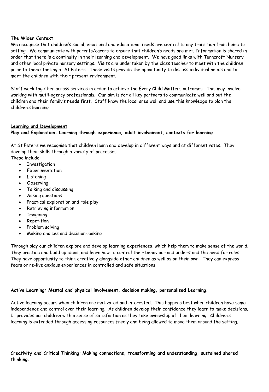# **The Wider Context**

We recognise that children's social, emotional and educational needs are central to any transition from home to setting. We communicate with parents/carers to ensure that children's needs are met. Information is shared in order that there is a continuity in their learning and development. We have good links with Turncroft Nursery and other local private nursery settings. Visits are undertaken by the class teacher to meet with the children prior to them starting at St Peter's. These visits provide the opportunity to discuss individual needs and to meet the children with their present environment.

Staff work together across services in order to achieve the Every Child Matters outcomes. This may involve working with mutli-agency professionals. Our aim is for all key partners to communicate well and put the children and their family's needs first. Staff know the local area well and use this knowledge to plan the children's learning.

### **Learning and Development**

# **Play and Exploration: Learning through experience, adult involvement, contexts for learning**

At St Peter's we recognise that children learn and develop in different ways and at different rates. They develop their skills through a variety of processes. These include:

- **•** Investigation
- Experimentation
- Listening
- Observing
- Talking and discussing
- Asking questions
- Practical exploration and role play
- Retrieving information
- Imagining
- Repetition
- Problem solving
- Making choices and decision-making

Through play our children explore and develop learning experiences, which help them to make sense of the world. They practice and build up ideas, and learn how to control their behaviour and understand the need for rules. They have opportunity to think creatively alongside other children as well as on their own. They can express fears or re-live anxious experiences in controlled and safe situations.

# **Active Learning: Mental and physical involvement, decision making, personalised Learning.**

Active learning occurs when children are motivated and interested. This happens best when children have some independence and control over their learning. As children develop their confidence they learn to make decisions. It provides our children with a sense of satisfaction as they take ownership of their learning. Children's learning is extended through accessing resources freely and being allowed to move them around the setting.

**Creativity and Critical Thinking: Making connections, transforming and understanding, sustained shared thinking.**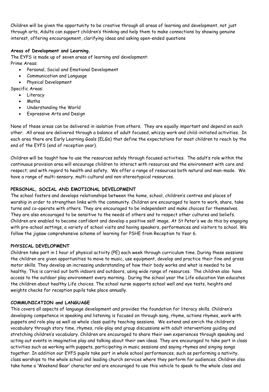Children will be given the opportunity to be creative through all areas of learning and development, not just through arts, Adults can support children's thinking and help them to make connections by showing genuine interest, offering encouragement, clarifying ideas and asking open-ended questions

# **Areas of Development and Learning.**

The EYFS is made up of seven areas of learning and development: Prime Areas:

- Personal, Social and Emotional Development
- Communication and Language
- Physical Development

Specific Areas:

- Literacy
	- Maths
	- Understanding the World
	- Expressive Arts and Design

None of these areas can be delivered in isolation from others. They are equally important and depend on each other. All areas are delivered through a balance of adult focused, whizzy work and child-initiated activities. In each area there are Early Learning Goals (ELGs) that define the expectations for most children to reach by the end of the EYFS (end of reception year).

Children will be taught how to use the resources safely through focused activities. The adult's role within the continuous provision area will encourage children to interact with resources and the environment with care and respect; and with regard to health and safety. We offer a range of resources both natural and man-made. We have a range of multi-sensory, multi-cultural and non-stereotypical resources.

# **PERSONAL, SOCIAL AND EMOTIONAL DEVELOPMENT**

The school fosters and develops relationships between the home, school, children's centres and places of worship in order to strengthen links with the community. Children are encouraged to learn to work, share, take turns and co-operate with others. They are encouraged to be independent and make choices for themselves. They are also encouraged to be sensitive to the needs of others and to respect other cultures and beliefs. Children are enabled to become confident and develop a positive self image. At St Peter's we do this by engaging with pre-school settings, a variety of school visits and having speakers, performances and visitors to school. We follow the jigsaw comprehensive scheme of learning for PSHE from Reception to Year 6.

# **PHYSICAL DEVELOPMENT**

Children take part in 1 hour of physical activity (PE) each week through curriculum time. During these sessions the children are given opportunities to move to music, use equipment, develop and practice their fine and gross motor skills. They develop an increasing understanding of how their body works and what is needed to be healthy. This is carried out both indoors and outdoors, using wide range of resources. The children also have access to the outdoor play environment every morning. During the school year the Life education Van educates the children about healthy Life choices. The school nurse supports school well and eye tests, heights and weights checks for reception pupils take place annually.

# **COMMUNICATION and LANGUAGE**

This covers all aspects of language development and provides the foundation for literacy skills. Children's developing competence in speaking and listening is focused on through song, rhyme, actions rhymes, work with puppets and role play as well as whole class quality teaching sessions. We extend and enrich the children's vocabulary through story time, rhymes, role-play and group discussions with adult interventions guiding and stretching children's vocabulary. Children are encouraged to share their own experiences through speaking and acting out events in imaginative play and talking about their own ideas. They are encouraged to take part in class activities such as working with puppets, participating in music sessions and saying rhymes and singing songs together. In addition our EYFS pupils take part in whole school performances, such as performing a nativity, class worships to the whole school and leading church services where they perform for audiences. Children also take home a 'Weekend Bear' character and are encouraged to use this vehicle to speak to the whole class and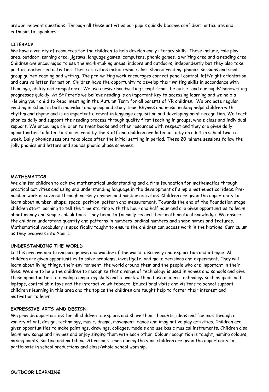answer relevant questions. Through all these activities our pupils quickly become confident, articulate and enthusiastic speakers.

# **LITERACY**

We have a variety of resources for the children to help develop early literacy skills. These include, role play area, outdoor learning area, jigsaws, language games, computers, phonic games, a writing area and a reading area. Children are encouraged to use the mark-making areas, indoors and outdoors, independently but they also take part in teacher-led activities. These activities include whole class shared reading, phonics sessions and small group guided reading and writing. The pre-writing work encourages correct pencil control, left/right orientation and cursive letter formation. Children have the opportunity to develop their writing skills in accordance with their age, ability and competence. We use cursive handwriting script from the outset and our pupils' handwriting progresses quickly. At St Peter's we believe reading is an important key to accessing learning and we hold a 'Helping your child to Read' meeting in the Autumn Term for all parents of YR children. We promote regular reading in school in both individual and group and story time. Rhymes and music making helps children with rhythm and rhyme and is an important element in language acquisition and developing print recognition. We teach phonics daily and support the reading process through quality first teaching in groups, whole class and individual support. We encourage children to treat books and other resources with respect and they are given daily opportunities to listen to stories read by the staff and children are listened to by an adult in school twice a week. Daily phonics sessions take place after the initial settling in period. These 20 minute sessions follow the jolly phonics and letters and sounds phonic phase schemes.

### **MATHEMATICS**

We aim for children to achieve mathematical understanding and a firm foundation for mathematics through practical activities and using and understanding language in the development of simple mathematical ideas. Prenumber work is covered through nursery rhymes and number activities. Children are given the opportunity to learn about number, shape, space, position, pattern and measurement. Towards the end of the Foundation stage children start learning to tell the time starting with the hour and half hour and are given opportunities to learn about money and simple calculations. They begin to formally record their mathematical knowledge. We ensure the children understand quantity and patterns in numbers, ordinal numbers and shape names and features. Mathematical vocabulary is specifically taught to ensure the children can access work in the National Curriculum as they progress into Year 1.

### **UNDERSTANDING THE WORLD**

In this area we aim to encourage awe and wonder of the world, discovery and exploration and intrigue. All children are given opportunities to solve problems, investigate, and make decisions and experiment. They will learn about living things, their environment, the world around them and the people who are important in their lives. We aim to help the children to recognise that a range of technology is used in homes and schools and give those opportunities to develop computing skills and to work with and use modern technology such as ipads and laptops, controllable toys and the interactive whiteboard. Educational visits and visitors to school support children's learning in this area and the topics the children are taught help to foster their interest and motivation to learn.

### **EXPRESSIVE ARTS AND DESIGN**

We provide opportunities for all children to explore and share their thoughts, ideas and feelings through a variety of art, design, technology, music, drama, movement, dance and imaginative play activities. Children are given opportunities to make paintings, drawings, collages, models and use basic musical instruments. Children also learn new songs and rhymes and enjoy singing them with each other. Colour recognition is taught, naming colours, mixing paints, sorting and matching. At various times during the year children are given the opportunity to participate in school productions and class/whole school worship.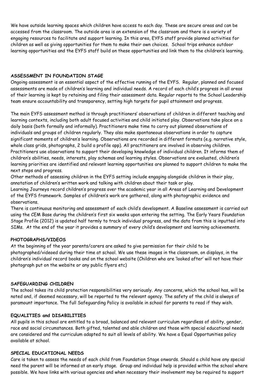We have outside learning spaces which children have access to each day. These are secure areas and can be accessed from the classroom. The outside area is an extension of the classroom and there is a variety of engaging resources to facilitate and support learning. In this area, EYFS staff provide planned activities for children as well as giving opportunities for them to make their own choices. School trips enhance outdoor learning opportunities and the EYFS staff build on these opportunities and link them to the children's learning.

# **ASSESSMENT IN FOUNDATION STAGE**

Ongoing assessment is an essential aspect of the effective running of the EYFS. Regular, planned and focused assessments are made of children's learning and individual needs. A record of each child's progress in all areas of their learning is kept by retaining and filing their assessment data. Regular reports to the School Leadership team ensure accountability and transparency, setting high targets for pupil attainment and progress.

The main EYFS assessment method is through practitioners' observations of children in different teaching and learning contexts, including both adult focused activities and child initiated play. Observations take place on a daily basis (both formally and informally). Practitioners make time to carry out planned observations of individuals and groups of children regularly. They also make spontaneous observations in order to capture significant moments of children's learning. Observations are recorded in different formats (e.g. narrative style, whole class grids, photographs, 2 build a profile app). All practitioners are involved in observing children. Practitioners use observations to support their developing knowledge of individual children. It informs them of children's abilities, needs, interests, play schemas and learning styles. Observations are evaluated, children's learning priorities are identified and relevant learning opportunities are planned to support children to make the next steps and progress.

Other methods of assessing children in the EYFS setting include engaging alongside children in their play, annotation of children's written work and talking with children about their task or play.

Learning Journeys record children's progress over the academic year in all Areas of Learning and Development of the EYFS framework. Samples of children's work are gathered, along with photographic evidence and observations.

There is continuous monitoring and assessment of each child's development. A Baseline assessment is carried out using the CEM Base during the children's first six weeks upon entering the setting. The Early Years Foundation Stage Profile (2012) is updated half termly to track individual progress, and the data from this is inputted into SIMs. At the end of the year it provides a summary of every child's development and learning achievements.

# **PHOTOGRAPHS/VIDEOS**

At the beginning of the year parents/carers are asked to give permission for their child to be photographed/videoed during their time at school. We use these images in the classroom, on displays, in the children's individual record books and on the school website (Children who are 'looked after' will not have their photograph put on the website or any public flyers etc)

### **SAFEGUARDING CHILDREN**

The school takes its child protection responsibilities very seriously. Any concerns, which the school has, will be noted and, if deemed necessary, will be reported to the relevant agency. The safety of the child is always of paramount importance. The full Safeguarding Policy is available in school for parents to read if they wish.

### **EQUALITIES and DISABILITIES**

All pupils in this school are entitled to a broad, balanced and relevant curriculum regardless of ability, gender, race and social circumstances. Both gifted, talented and able children and those with special educational needs are considered and the curriculum adapted to suit all levels of ability. We have a Equal Opportunities policy available at school.

### **SPECIAL EDUCATIONAL NEEDS**

Care is taken to assess the needs of each child from Foundation Stage onwards. Should a child have any special need the parent will be informed at an early stage. Group and individual help is provided within the school where possible. We have links with various agencies and when necessary their involvement may be required to support